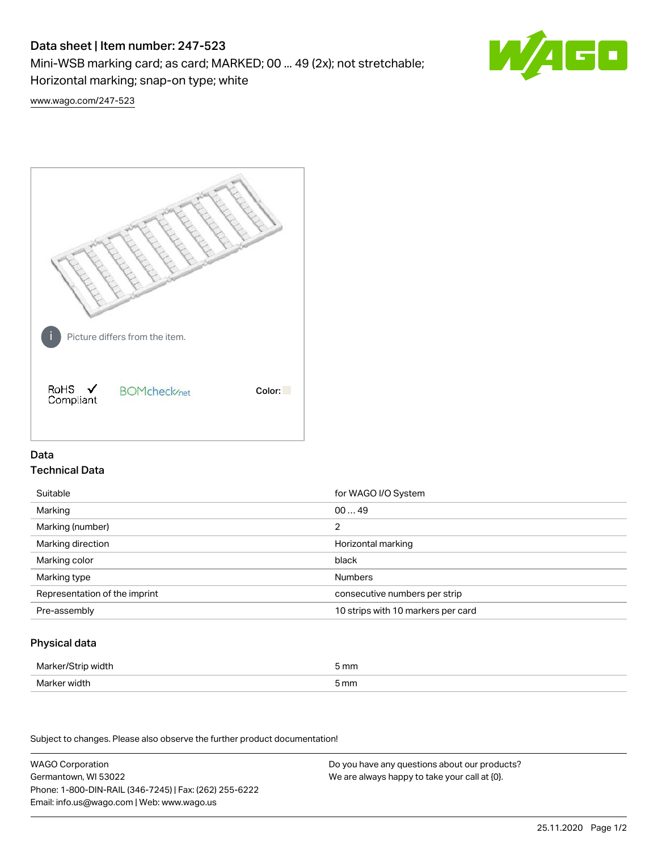# Data sheet | Item number: 247-523

Mini-WSB marking card; as card; MARKED; 00 ... 49 (2x); not stretchable;

Horizontal marking; snap-on type; white



[www.wago.com/247-523](http://www.wago.com/247-523)



## Data Technical Data

| Suitable                      | for WAGO I/O System                |
|-------------------------------|------------------------------------|
| Marking                       | 0049                               |
| Marking (number)              | 2                                  |
| Marking direction             | Horizontal marking                 |
| Marking color                 | black                              |
| Marking type                  | <b>Numbers</b>                     |
| Representation of the imprint | consecutive numbers per strip      |
| Pre-assembly                  | 10 strips with 10 markers per card |

## Physical data

| Marker/Strip width | 5 mm |
|--------------------|------|
| Marker width       | 5 mm |

Subject to changes. Please also observe the further product documentation!

WAGO Corporation Germantown, WI 53022 Phone: 1-800-DIN-RAIL (346-7245) | Fax: (262) 255-6222 Email: info.us@wago.com | Web: www.wago.us Do you have any questions about our products? We are always happy to take your call at {0}.

25.11.2020 Page 1/2